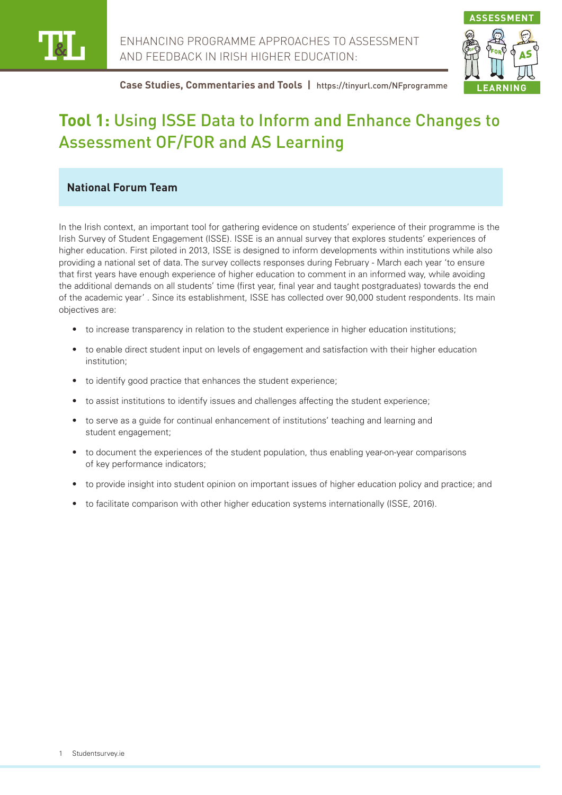



# **Tool 1:** Using ISSE Data to Inform and Enhance Changes to Assessment OF/FOR and AS Learning

# **National Forum Team**

In the Irish context, an important tool for gathering evidence on students' experience of their programme is the Irish Survey of Student Engagement (ISSE). ISSE is an annual survey that explores students' experiences of higher education. First piloted in 2013, ISSE is designed to inform developments within institutions while also providing a national set of data. The survey collects responses during February - March each year 'to ensure that first years have enough experience of higher education to comment in an informed way, while avoiding the additional demands on all students' time (first year, final year and taught postgraduates) towards the end of the academic year' . Since its establishment, ISSE has collected over 90,000 student respondents. Its main objectives are:

- to increase transparency in relation to the student experience in higher education institutions;
- to enable direct student input on levels of engagement and satisfaction with their higher education institution;
- to identify good practice that enhances the student experience;
- to assist institutions to identify issues and challenges affecting the student experience;
- to serve as a guide for continual enhancement of institutions' teaching and learning and student engagement:
- to document the experiences of the student population, thus enabling year-on-year comparisons of key performance indicators;
- to provide insight into student opinion on important issues of higher education policy and practice; and
- to facilitate comparison with other higher education systems internationally (ISSE, 2016).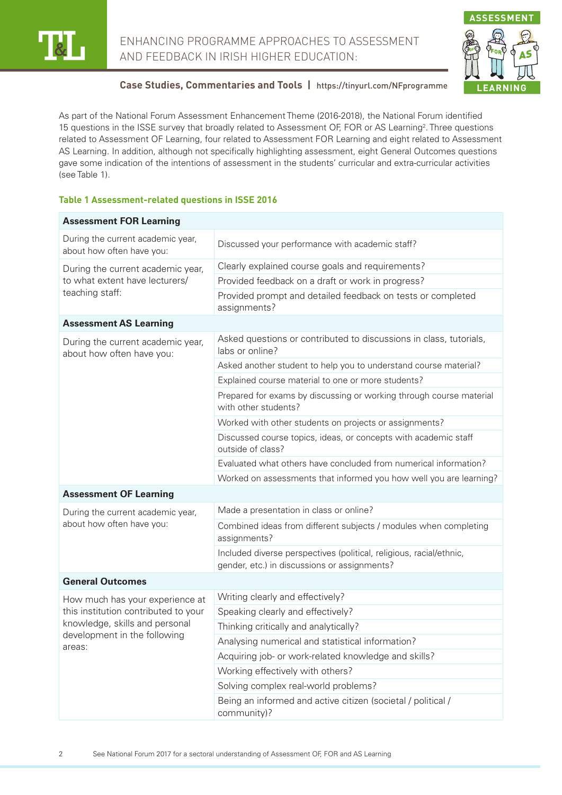

ENHANCING PROGRAMME APPROACHES TO ASSESSMENT AND FEEDBACK IN IRISH HIGHER EDUCATION:



# **Case Studies, Commentaries and Tools |** https://tinyurl.com/NFprogramme

As part of the National Forum Assessment Enhancement Theme (2016-2018), the National Forum identified 15 questions in the ISSE survey that broadly related to Assessment OF, FOR or AS Learning<sup>2</sup>. Three questions related to Assessment OF Learning, four related to Assessment FOR Learning and eight related to Assessment AS Learning. In addition, although not specifically highlighting assessment, eight General Outcomes questions gave some indication of the intentions of assessment in the students' curricular and extra-curricular activities (see Table 1).

#### **Table 1 Assessment-related questions in ISSE 2016**

| <b>Assessment FOR Learning</b>                                                                                                                      |                                                                                                                     |
|-----------------------------------------------------------------------------------------------------------------------------------------------------|---------------------------------------------------------------------------------------------------------------------|
| During the current academic year,<br>about how often have you:                                                                                      | Discussed your performance with academic staff?                                                                     |
| During the current academic year,<br>to what extent have lecturers/<br>teaching staff:                                                              | Clearly explained course goals and requirements?                                                                    |
|                                                                                                                                                     | Provided feedback on a draft or work in progress?                                                                   |
|                                                                                                                                                     | Provided prompt and detailed feedback on tests or completed<br>assignments?                                         |
| <b>Assessment AS Learning</b>                                                                                                                       |                                                                                                                     |
| During the current academic year,<br>about how often have you:                                                                                      | Asked questions or contributed to discussions in class, tutorials,<br>labs or online?                               |
|                                                                                                                                                     | Asked another student to help you to understand course material?                                                    |
|                                                                                                                                                     | Explained course material to one or more students?                                                                  |
|                                                                                                                                                     | Prepared for exams by discussing or working through course material<br>with other students?                         |
|                                                                                                                                                     | Worked with other students on projects or assignments?                                                              |
|                                                                                                                                                     | Discussed course topics, ideas, or concepts with academic staff<br>outside of class?                                |
|                                                                                                                                                     | Evaluated what others have concluded from numerical information?                                                    |
|                                                                                                                                                     | Worked on assessments that informed you how well you are learning?                                                  |
| <b>Assessment OF Learning</b>                                                                                                                       |                                                                                                                     |
| During the current academic year,<br>about how often have you:                                                                                      | Made a presentation in class or online?                                                                             |
|                                                                                                                                                     | Combined ideas from different subjects / modules when completing<br>assignments?                                    |
|                                                                                                                                                     | Included diverse perspectives (political, religious, racial/ethnic,<br>gender, etc.) in discussions or assignments? |
| <b>General Outcomes</b>                                                                                                                             |                                                                                                                     |
| How much has your experience at<br>this institution contributed to your<br>knowledge, skills and personal<br>development in the following<br>areas: | Writing clearly and effectively?                                                                                    |
|                                                                                                                                                     | Speaking clearly and effectively?                                                                                   |
|                                                                                                                                                     | Thinking critically and analytically?                                                                               |
|                                                                                                                                                     | Analysing numerical and statistical information?                                                                    |
|                                                                                                                                                     | Acquiring job- or work-related knowledge and skills?                                                                |
|                                                                                                                                                     | Working effectively with others?                                                                                    |
|                                                                                                                                                     | Solving complex real-world problems?                                                                                |
|                                                                                                                                                     | Being an informed and active citizen (societal / political /<br>community)?                                         |

2 See National Forum 2017 for a sectoral understanding of Assessment OF, FOR and AS Learning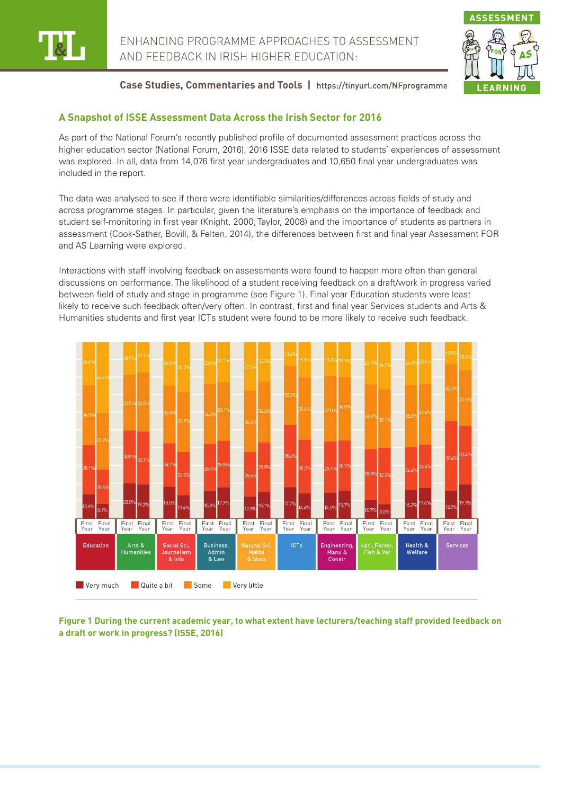



### **A Snapshot of ISSE Assessment Data Across the Irish Sector for 2016**

As part of the National Forum's recently published profile of documented assessment practices across the higher education sector (National Forum, 2016), 2016 ISSE data related to students' experiences of assessment was explored. In all, data from 14,076 first year undergraduates and 10,650 final year undergraduates was included in the report.

The data was analysed to see if there were identifiable similarities/differences across fields of study and across programme stages. In particular, given the literature's emphasis on the importance of feedback and student self-monitoring in first year (Knight, 2000; Taylor, 2008) and the importance of students as partners in assessment (Cook-Sather, Bovill, & Felten, 2014), the differences between first and final year Assessment FOR and AS Learning were explored.

Interactions with staff involving feedback on assessments were found to happen more often than general discussions on performance. The likelihood of a student receiving feedback on a draft/work in progress varied between field of study and stage in programme (see Figure 1). Final year Education students were least likely to receive such feedback often/very often. In contrast, first and final year Services students and Arts & Humanities students and first year ICTs student were found to be more likely to receive such feedback.



**Figure 1 During the current academic year, to what extent have lecturers/teaching staff provided feedback on a draft or work in progress? (ISSE, 2016)**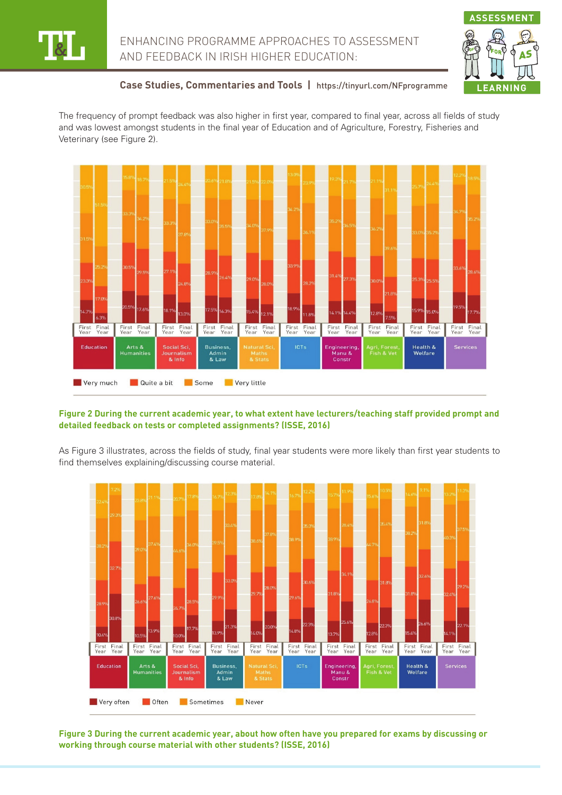



The frequency of prompt feedback was also higher in first year, compared to final year, across all fields of study and was lowest amongst students in the final year of Education and of Agriculture, Forestry, Fisheries and Veterinary (see Figure 2).



#### **Figure 2 During the current academic year, to what extent have lecturers/teaching staff provided prompt and detailed feedback on tests or completed assignments? (ISSE, 2016)**

As Figure 3 illustrates, across the fields of study, final year students were more likely than first year students to find themselves explaining/discussing course material.



**Figure 3 During the current academic year, about how often have you prepared for exams by discussing or working through course material with other students? (ISSE, 2016)**